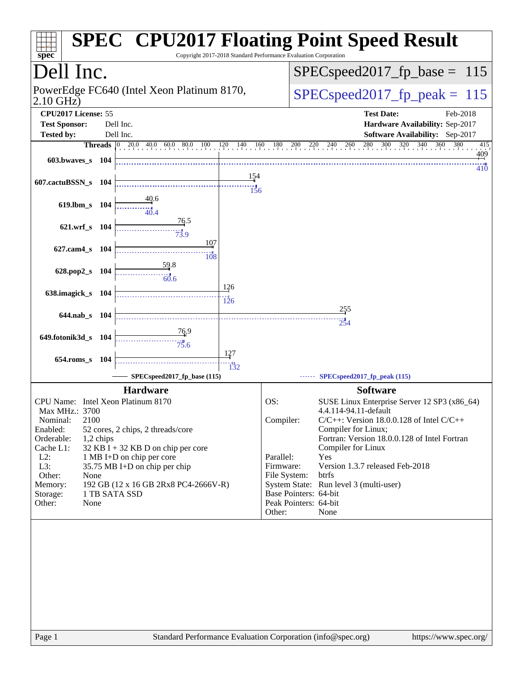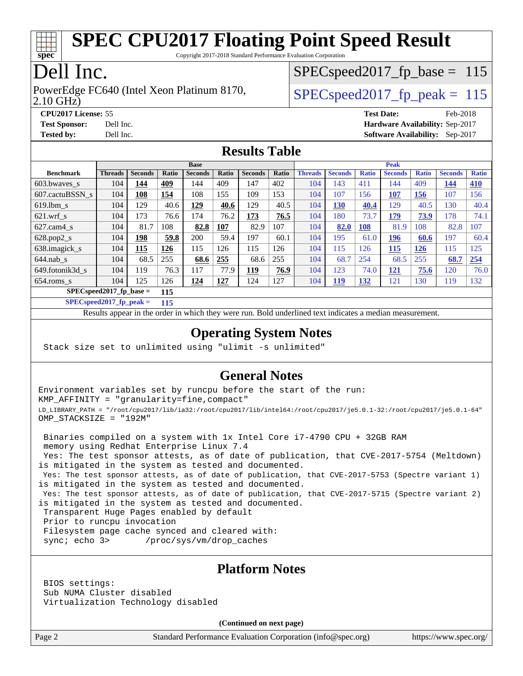

Copyright 2017-2018 Standard Performance Evaluation Corporation

# Dell Inc.

2.10 GHz) PowerEdge FC640 (Intel Xeon Platinum 8170,  $\vert$  SPECspeed2017 fp\_peak = 115

SPECspeed2017 fp base =  $115$ 

**[CPU2017 License:](http://www.spec.org/auto/cpu2017/Docs/result-fields.html#CPU2017License)** 55 **[Test Date:](http://www.spec.org/auto/cpu2017/Docs/result-fields.html#TestDate)** Feb-2018 **[Test Sponsor:](http://www.spec.org/auto/cpu2017/Docs/result-fields.html#TestSponsor)** Dell Inc. **[Hardware Availability:](http://www.spec.org/auto/cpu2017/Docs/result-fields.html#HardwareAvailability)** Sep-2017 **[Tested by:](http://www.spec.org/auto/cpu2017/Docs/result-fields.html#Testedby)** Dell Inc. **[Software Availability:](http://www.spec.org/auto/cpu2017/Docs/result-fields.html#SoftwareAvailability)** Sep-2017

#### **[Results Table](http://www.spec.org/auto/cpu2017/Docs/result-fields.html#ResultsTable)**

|                          | <b>Base</b>                |                |              |                |              | <b>Peak</b>    |       |                |                |              |                |              |                |              |
|--------------------------|----------------------------|----------------|--------------|----------------|--------------|----------------|-------|----------------|----------------|--------------|----------------|--------------|----------------|--------------|
| <b>Benchmark</b>         | <b>Threads</b>             | <b>Seconds</b> | <b>Ratio</b> | <b>Seconds</b> | <b>Ratio</b> | <b>Seconds</b> | Ratio | <b>Threads</b> | <b>Seconds</b> | <b>Ratio</b> | <b>Seconds</b> | <b>Ratio</b> | <b>Seconds</b> | <b>Ratio</b> |
| $603.bwaves$ s           | 104                        | 144            | 409          | 144            | 409          | 147            | 402   | 104            | 143            | 411          | 144            | 409          | <u>144</u>     | 410          |
| 607.cactuBSSN s          | 104                        | 108            | 154          | 108            | 155          | 109            | 153   | 104            | 107            | 156          | 107            | <u>156</u>   | 107            | 156          |
| $619.1$ bm s             | 104                        | 129            | 40.6         | 129            | 40.6         | 129            | 40.5  | 104            | 130            | 40.4         | 129            | 40.5         | 130            | 40.4         |
| $621$ .wrf s             | 104                        | 173            | 76.6         | 174            | 76.2         | 173            | 76.5  | 104            | 180            | 73.7         | 179            | 73.9         | 178            | 74.1         |
| $627$ .cam $4 \text{ s}$ | 104                        | 81.7           | 108          | 82.8           | 107          | 82.9           | 107   | 104            | 82.0           | 108          | 81.9           | 108          | 82.8           | 107          |
| $628.pop2_s$             | 104                        | 198            | 59.8         | 200            | 59.4         | 197            | 60.1  | 104            | 195            | 61.0         | 196            | 60.6         | 197            | 60.4         |
| 638.imagick_s            | 104                        | 115            | 126          | 115            | 126          | 115            | 126   | 104            | 115            | 126          | 115            | 126          | 115            | 125          |
| $644$ .nab s             | 104                        | 68.5           | 255          | 68.6           | 255          | 68.6           | 255   | 104            | 68.7           | 254          | 68.5           | 255          | 68.7           | 254          |
| 649.fotonik3d s          | 104                        | 119            | 76.3         | 117            | 77.9         | <u>119</u>     | 76.9  | 104            | 123            | 74.0         | 121            | 75.6         | 120            | 76.0         |
| $654$ .roms s            | 104                        | 125            | 126          | 124            | <u>127</u>   | 124            | 127   | 104            | <u> 119</u>    | <u>132</u>   | 121            | 130          | 119            | 132          |
|                          | $SPEC speed2017$ fp base = |                | 115          |                |              |                |       |                |                |              |                |              |                |              |

**[SPECspeed2017\\_fp\\_peak =](http://www.spec.org/auto/cpu2017/Docs/result-fields.html#SPECspeed2017fppeak) 115**

Results appear in the [order in which they were run.](http://www.spec.org/auto/cpu2017/Docs/result-fields.html#RunOrder) Bold underlined text [indicates a median measurement](http://www.spec.org/auto/cpu2017/Docs/result-fields.html#Median).

#### **[Operating System Notes](http://www.spec.org/auto/cpu2017/Docs/result-fields.html#OperatingSystemNotes)**

Stack size set to unlimited using "ulimit -s unlimited"

### **[General Notes](http://www.spec.org/auto/cpu2017/Docs/result-fields.html#GeneralNotes)**

Environment variables set by runcpu before the start of the run: KMP\_AFFINITY = "granularity=fine,compact" LD\_LIBRARY\_PATH = "/root/cpu2017/lib/ia32:/root/cpu2017/lib/intel64:/root/cpu2017/je5.0.1-32:/root/cpu2017/je5.0.1-64" OMP\_STACKSIZE = "192M"

 Binaries compiled on a system with 1x Intel Core i7-4790 CPU + 32GB RAM memory using Redhat Enterprise Linux 7.4 Yes: The test sponsor attests, as of date of publication, that CVE-2017-5754 (Meltdown) is mitigated in the system as tested and documented.

 Yes: The test sponsor attests, as of date of publication, that CVE-2017-5753 (Spectre variant 1) is mitigated in the system as tested and documented.

 Yes: The test sponsor attests, as of date of publication, that CVE-2017-5715 (Spectre variant 2) is mitigated in the system as tested and documented.

Transparent Huge Pages enabled by default

Prior to runcpu invocation

Filesystem page cache synced and cleared with:

sync; echo 3> /proc/sys/vm/drop\_caches

#### **[Platform Notes](http://www.spec.org/auto/cpu2017/Docs/result-fields.html#PlatformNotes)**

 BIOS settings: Sub NUMA Cluster disabled Virtualization Technology disabled

**(Continued on next page)**

Page 2 Standard Performance Evaluation Corporation [\(info@spec.org\)](mailto:info@spec.org) <https://www.spec.org/>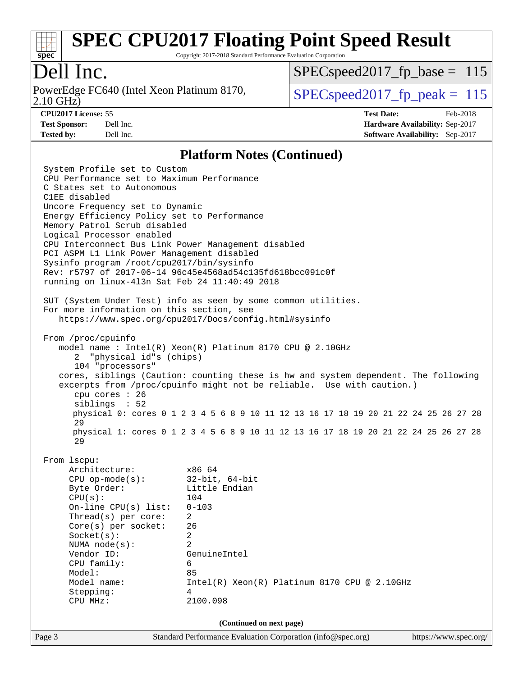

Copyright 2017-2018 Standard Performance Evaluation Corporation

# Dell Inc.

2.10 GHz) PowerEdge FC640 (Intel Xeon Platinum 8170,  $\vert$  SPECspeed2017 fp\_peak = 115

SPECspeed2017 fp base =  $115$ 

**[CPU2017 License:](http://www.spec.org/auto/cpu2017/Docs/result-fields.html#CPU2017License)** 55 **[Test Date:](http://www.spec.org/auto/cpu2017/Docs/result-fields.html#TestDate)** Feb-2018 **[Test Sponsor:](http://www.spec.org/auto/cpu2017/Docs/result-fields.html#TestSponsor)** Dell Inc. **[Hardware Availability:](http://www.spec.org/auto/cpu2017/Docs/result-fields.html#HardwareAvailability)** Sep-2017 **[Tested by:](http://www.spec.org/auto/cpu2017/Docs/result-fields.html#Testedby)** Dell Inc. **[Software Availability:](http://www.spec.org/auto/cpu2017/Docs/result-fields.html#SoftwareAvailability)** Sep-2017

#### **[Platform Notes \(Continued\)](http://www.spec.org/auto/cpu2017/Docs/result-fields.html#PlatformNotes)**

Page 3 Standard Performance Evaluation Corporation [\(info@spec.org\)](mailto:info@spec.org) <https://www.spec.org/> System Profile set to Custom CPU Performance set to Maximum Performance C States set to Autonomous C1EE disabled Uncore Frequency set to Dynamic Energy Efficiency Policy set to Performance Memory Patrol Scrub disabled Logical Processor enabled CPU Interconnect Bus Link Power Management disabled PCI ASPM L1 Link Power Management disabled Sysinfo program /root/cpu2017/bin/sysinfo Rev: r5797 of 2017-06-14 96c45e4568ad54c135fd618bcc091c0f running on linux-4l3n Sat Feb 24 11:40:49 2018 SUT (System Under Test) info as seen by some common utilities. For more information on this section, see <https://www.spec.org/cpu2017/Docs/config.html#sysinfo> From /proc/cpuinfo model name : Intel(R) Xeon(R) Platinum 8170 CPU @ 2.10GHz 2 "physical id"s (chips) 104 "processors" cores, siblings (Caution: counting these is hw and system dependent. The following excerpts from /proc/cpuinfo might not be reliable. Use with caution.) cpu cores : 26 siblings : 52 physical 0: cores 0 1 2 3 4 5 6 8 9 10 11 12 13 16 17 18 19 20 21 22 24 25 26 27 28 29 physical 1: cores 0 1 2 3 4 5 6 8 9 10 11 12 13 16 17 18 19 20 21 22 24 25 26 27 28 29 From lscpu: Architecture: x86\_64 CPU op-mode(s): 32-bit, 64-bit Byte Order: Little Endian CPU(s): 104 On-line CPU(s) list: 0-103 Thread(s) per core: 2 Core(s) per socket: 26 Socket(s): 2 NUMA node(s): 2 Vendor ID: GenuineIntel CPU family: 6 Model: 85 Model name:  $Intel(R)$  Xeon(R) Platinum 8170 CPU @ 2.10GHz Stepping: 4 CPU MHz: 2100.098 **(Continued on next page)**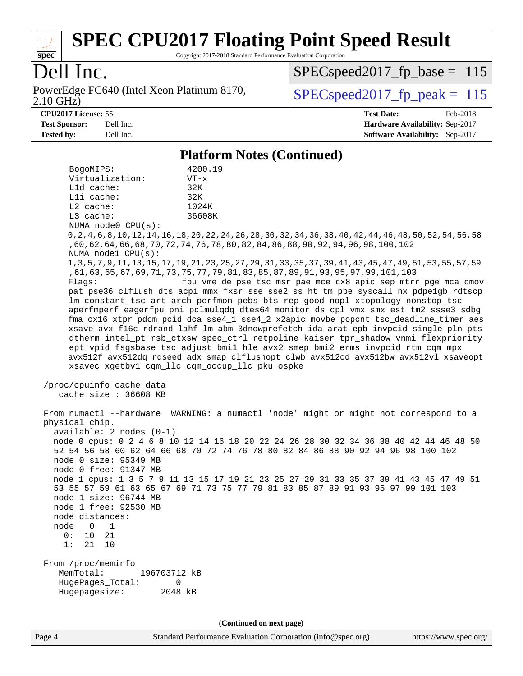

Copyright 2017-2018 Standard Performance Evaluation Corporation

# Dell Inc.

2.10 GHz) PowerEdge FC640 (Intel Xeon Platinum 8170,  $\boxed{\text{SPEC speed2017\_fp\_peak} = 115}$ 

[SPECspeed2017\\_fp\\_base =](http://www.spec.org/auto/cpu2017/Docs/result-fields.html#SPECspeed2017fpbase) 115

**[CPU2017 License:](http://www.spec.org/auto/cpu2017/Docs/result-fields.html#CPU2017License)** 55 **[Test Date:](http://www.spec.org/auto/cpu2017/Docs/result-fields.html#TestDate)** Feb-2018 **[Test Sponsor:](http://www.spec.org/auto/cpu2017/Docs/result-fields.html#TestSponsor)** Dell Inc. **[Hardware Availability:](http://www.spec.org/auto/cpu2017/Docs/result-fields.html#HardwareAvailability)** Sep-2017 **[Tested by:](http://www.spec.org/auto/cpu2017/Docs/result-fields.html#Testedby)** Dell Inc. **[Software Availability:](http://www.spec.org/auto/cpu2017/Docs/result-fields.html#SoftwareAvailability)** Sep-2017

#### **[Platform Notes \(Continued\)](http://www.spec.org/auto/cpu2017/Docs/result-fields.html#PlatformNotes)**

|                                                   | I lation in Twics (Continueu)                                                                                                                                                                                                                                                                                                                                                                                                                                                                                                                                                                                                                                      |  |  |  |  |  |  |
|---------------------------------------------------|--------------------------------------------------------------------------------------------------------------------------------------------------------------------------------------------------------------------------------------------------------------------------------------------------------------------------------------------------------------------------------------------------------------------------------------------------------------------------------------------------------------------------------------------------------------------------------------------------------------------------------------------------------------------|--|--|--|--|--|--|
| BogoMIPS:                                         | 4200.19                                                                                                                                                                                                                                                                                                                                                                                                                                                                                                                                                                                                                                                            |  |  |  |  |  |  |
| Virtualization:                                   | $VT - x$                                                                                                                                                                                                                                                                                                                                                                                                                                                                                                                                                                                                                                                           |  |  |  |  |  |  |
| Lld cache:                                        | 32K                                                                                                                                                                                                                                                                                                                                                                                                                                                                                                                                                                                                                                                                |  |  |  |  |  |  |
| Lli cache:                                        | 32K                                                                                                                                                                                                                                                                                                                                                                                                                                                                                                                                                                                                                                                                |  |  |  |  |  |  |
| $L2$ cache:                                       | 1024K                                                                                                                                                                                                                                                                                                                                                                                                                                                                                                                                                                                                                                                              |  |  |  |  |  |  |
| L3 cache:                                         | 36608K                                                                                                                                                                                                                                                                                                                                                                                                                                                                                                                                                                                                                                                             |  |  |  |  |  |  |
| NUMA node0 CPU(s):                                |                                                                                                                                                                                                                                                                                                                                                                                                                                                                                                                                                                                                                                                                    |  |  |  |  |  |  |
| NUMA node1 CPU(s):                                | 0,2,4,6,8,10,12,14,16,18,20,22,24,26,28,30,32,34,36,38,40,42,44,46,48,50,52,54,56,<br>, 60, 62, 64, 66, 68, 70, 72, 74, 76, 78, 80, 82, 84, 86, 88, 90, 92, 94, 96, 98, 100, 102                                                                                                                                                                                                                                                                                                                                                                                                                                                                                   |  |  |  |  |  |  |
| Flagg:                                            | 1, 3, 5, 7, 9, 11, 13, 15, 17, 19, 21, 23, 25, 27, 29, 31, 33, 35, 37, 39, 41, 43, 45, 47, 49, 51, 53, 55, 57, 59<br>,61,63,65,67,69,71,73,75,77,79,81,83,85,87,89,91,93,95,97,99,101,103<br>fpu vme de pse tsc msr pae mce cx8 apic sep mtrr pge mca cmov<br>pat pse36 clflush dts acpi mmx fxsr sse sse2 ss ht tm pbe syscall nx pdpelgb rdtscp                                                                                                                                                                                                                                                                                                                  |  |  |  |  |  |  |
|                                                   | lm constant_tsc art arch_perfmon pebs bts rep_good nopl xtopology nonstop_tsc<br>aperfmperf eagerfpu pni pclmulqdq dtes64 monitor ds_cpl vmx smx est tm2 ssse3 sdbg<br>fma cx16 xtpr pdcm pcid dca sse4_1 sse4_2 x2apic movbe popcnt tsc_deadline_timer aes<br>xsave avx f16c rdrand lahf_lm abm 3dnowprefetch ida arat epb invpcid_single pln pts<br>dtherm intel_pt rsb_ctxsw spec_ctrl retpoline kaiser tpr_shadow vnmi flexpriority<br>ept vpid fsgsbase tsc_adjust bmil hle avx2 smep bmi2 erms invpcid rtm cqm mpx<br>avx512f avx512dq rdseed adx smap clflushopt clwb avx512cd avx512bw avx512vl xsaveopt<br>xsavec xgetbv1 cqm_llc cqm_occup_llc pku ospke |  |  |  |  |  |  |
| /proc/cpuinfo cache data<br>cache size : 36608 KB |                                                                                                                                                                                                                                                                                                                                                                                                                                                                                                                                                                                                                                                                    |  |  |  |  |  |  |
| physical chip.<br>$available: 2 nodes (0-1)$      | From numactl --hardware WARNING: a numactl 'node' might or might not correspond to a                                                                                                                                                                                                                                                                                                                                                                                                                                                                                                                                                                               |  |  |  |  |  |  |
| node 0 size: 95349 MB                             | node 0 cpus: 0 2 4 6 8 10 12 14 16 18 20 22 24 26 28 30 32 34 36 38 40 42 44 46 48 50<br>52 54 56 58 60 62 64 66 68 70 72 74 76 78 80 82 84 86 88 90 92 94 96 98 100 102                                                                                                                                                                                                                                                                                                                                                                                                                                                                                           |  |  |  |  |  |  |
| node 0 free: 91347 MB                             |                                                                                                                                                                                                                                                                                                                                                                                                                                                                                                                                                                                                                                                                    |  |  |  |  |  |  |
| node 1 size: 96744 MB                             | node 1 cpus: 1 3 5 7 9 11 13 15 17 19 21 23 25 27 29 31 33 35 37 39 41 43 45 47 49 51<br>53 55 57 59 61 63 65 67 69 71 73 75 77 79 81 83 85 87 89 91 93 95 97 99 101 103                                                                                                                                                                                                                                                                                                                                                                                                                                                                                           |  |  |  |  |  |  |
| node 1 free: 92530 MB                             |                                                                                                                                                                                                                                                                                                                                                                                                                                                                                                                                                                                                                                                                    |  |  |  |  |  |  |
| node distances:                                   |                                                                                                                                                                                                                                                                                                                                                                                                                                                                                                                                                                                                                                                                    |  |  |  |  |  |  |
| node<br>$\mathsf{O}$<br>1                         |                                                                                                                                                                                                                                                                                                                                                                                                                                                                                                                                                                                                                                                                    |  |  |  |  |  |  |
| 21<br>0 :<br>10                                   |                                                                                                                                                                                                                                                                                                                                                                                                                                                                                                                                                                                                                                                                    |  |  |  |  |  |  |
| 1:<br>21<br>10                                    |                                                                                                                                                                                                                                                                                                                                                                                                                                                                                                                                                                                                                                                                    |  |  |  |  |  |  |
| From /proc/meminfo<br>MemTotal:                   |                                                                                                                                                                                                                                                                                                                                                                                                                                                                                                                                                                                                                                                                    |  |  |  |  |  |  |
| 196703712 kB<br>HugePages_Total:                  | 0                                                                                                                                                                                                                                                                                                                                                                                                                                                                                                                                                                                                                                                                  |  |  |  |  |  |  |
| Hugepagesize:                                     | 2048 kB                                                                                                                                                                                                                                                                                                                                                                                                                                                                                                                                                                                                                                                            |  |  |  |  |  |  |
|                                                   |                                                                                                                                                                                                                                                                                                                                                                                                                                                                                                                                                                                                                                                                    |  |  |  |  |  |  |
|                                                   | (Continued on next page)                                                                                                                                                                                                                                                                                                                                                                                                                                                                                                                                                                                                                                           |  |  |  |  |  |  |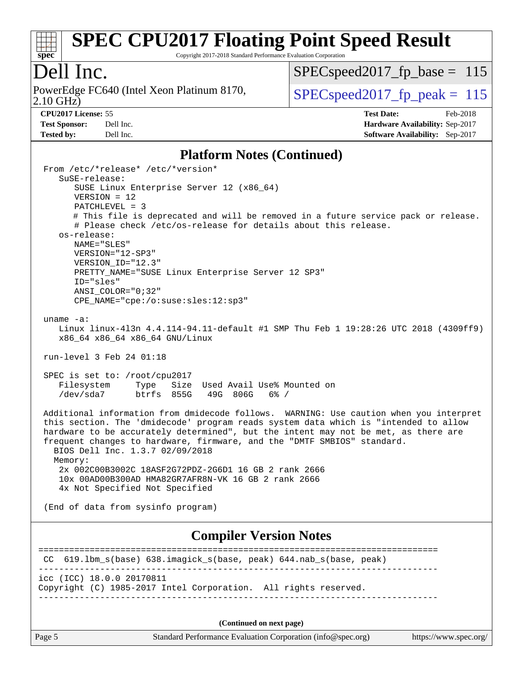

Copyright 2017-2018 Standard Performance Evaluation Corporation

### Dell Inc.

2.10 GHz) PowerEdge FC640 (Intel Xeon Platinum 8170,  $\boxed{\text{SPEC speed2017\_fp\_peak} = 115}$ 

[SPECspeed2017\\_fp\\_base =](http://www.spec.org/auto/cpu2017/Docs/result-fields.html#SPECspeed2017fpbase) 115

**[Tested by:](http://www.spec.org/auto/cpu2017/Docs/result-fields.html#Testedby)** Dell Inc. **[Software Availability:](http://www.spec.org/auto/cpu2017/Docs/result-fields.html#SoftwareAvailability)** Sep-2017

**[CPU2017 License:](http://www.spec.org/auto/cpu2017/Docs/result-fields.html#CPU2017License)** 55 **[Test Date:](http://www.spec.org/auto/cpu2017/Docs/result-fields.html#TestDate)** Feb-2018 **[Test Sponsor:](http://www.spec.org/auto/cpu2017/Docs/result-fields.html#TestSponsor)** Dell Inc. **[Hardware Availability:](http://www.spec.org/auto/cpu2017/Docs/result-fields.html#HardwareAvailability)** Sep-2017

#### **[Platform Notes \(Continued\)](http://www.spec.org/auto/cpu2017/Docs/result-fields.html#PlatformNotes)**

| From /etc/*release* /etc/*version*<br>SuSE-release:                                                                                                                                                                                                                 |  |  |  |  |  |
|---------------------------------------------------------------------------------------------------------------------------------------------------------------------------------------------------------------------------------------------------------------------|--|--|--|--|--|
| SUSE Linux Enterprise Server 12 (x86_64)                                                                                                                                                                                                                            |  |  |  |  |  |
| $VERSION = 12$<br>$PATCHLEVEL = 3$                                                                                                                                                                                                                                  |  |  |  |  |  |
| # This file is deprecated and will be removed in a future service pack or release.                                                                                                                                                                                  |  |  |  |  |  |
| # Please check /etc/os-release for details about this release.<br>os-release:                                                                                                                                                                                       |  |  |  |  |  |
| NAME="SLES"                                                                                                                                                                                                                                                         |  |  |  |  |  |
| VERSION="12-SP3"<br>VERSION ID="12.3"                                                                                                                                                                                                                               |  |  |  |  |  |
| PRETTY_NAME="SUSE Linux Enterprise Server 12 SP3"                                                                                                                                                                                                                   |  |  |  |  |  |
| ID="sles"<br>$ANSI$ _COLOR=" $0:32$ "                                                                                                                                                                                                                               |  |  |  |  |  |
| CPE_NAME="cpe:/o:suse:sles:12:sp3"                                                                                                                                                                                                                                  |  |  |  |  |  |
| uname $-a$ :                                                                                                                                                                                                                                                        |  |  |  |  |  |
| Linux linux-413n 4.4.114-94.11-default #1 SMP Thu Feb 1 19:28:26 UTC 2018 (4309ff9)<br>x86_64 x86_64 x86_64 GNU/Linux                                                                                                                                               |  |  |  |  |  |
| run-level 3 Feb 24 01:18                                                                                                                                                                                                                                            |  |  |  |  |  |
| SPEC is set to: /root/cpu2017                                                                                                                                                                                                                                       |  |  |  |  |  |
| Filesystem<br>Size Used Avail Use% Mounted on<br>Type<br>/dev/sda7<br>btrfs 855G<br>49G 806G<br>$6\%$ /                                                                                                                                                             |  |  |  |  |  |
| Additional information from dmidecode follows. WARNING: Use caution when you interpret<br>this section. The 'dmidecode' program reads system data which is "intended to allow<br>hardware to be accurately determined", but the intent may not be met, as there are |  |  |  |  |  |
| frequent changes to hardware, firmware, and the "DMTF SMBIOS" standard.<br>BIOS Dell Inc. 1.3.7 02/09/2018                                                                                                                                                          |  |  |  |  |  |
| Memory:<br>2x 002C00B3002C 18ASF2G72PDZ-2G6D1 16 GB 2 rank 2666                                                                                                                                                                                                     |  |  |  |  |  |
| 10x 00AD00B300AD HMA82GR7AFR8N-VK 16 GB 2 rank 2666                                                                                                                                                                                                                 |  |  |  |  |  |
| 4x Not Specified Not Specified                                                                                                                                                                                                                                      |  |  |  |  |  |
| (End of data from sysinfo program)                                                                                                                                                                                                                                  |  |  |  |  |  |
| <b>Compiler Version Notes</b>                                                                                                                                                                                                                                       |  |  |  |  |  |
| 619.1bm_s(base) 638.imagick_s(base, peak) 644.nab_s(base, peak)<br>CC.                                                                                                                                                                                              |  |  |  |  |  |
| icc (ICC) 18.0.0 20170811<br>Copyright (C) 1985-2017 Intel Corporation. All rights reserved.                                                                                                                                                                        |  |  |  |  |  |
|                                                                                                                                                                                                                                                                     |  |  |  |  |  |
| (Continued on next page)                                                                                                                                                                                                                                            |  |  |  |  |  |

Page 5 Standard Performance Evaluation Corporation [\(info@spec.org\)](mailto:info@spec.org) <https://www.spec.org/>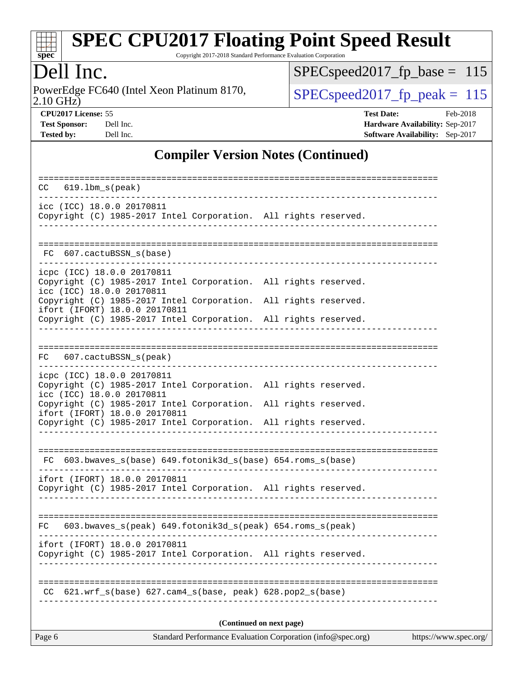

Copyright 2017-2018 Standard Performance Evaluation Corporation

# Dell Inc.

2.10 GHz) PowerEdge FC640 (Intel Xeon Platinum 8170,  $\boxed{\text{SPEC speed2017\_fp\_peak} = 115}$ 

[SPECspeed2017\\_fp\\_base =](http://www.spec.org/auto/cpu2017/Docs/result-fields.html#SPECspeed2017fpbase) 115

**[CPU2017 License:](http://www.spec.org/auto/cpu2017/Docs/result-fields.html#CPU2017License)** 55 **[Test Date:](http://www.spec.org/auto/cpu2017/Docs/result-fields.html#TestDate)** Feb-2018 **[Test Sponsor:](http://www.spec.org/auto/cpu2017/Docs/result-fields.html#TestSponsor)** Dell Inc. **[Hardware Availability:](http://www.spec.org/auto/cpu2017/Docs/result-fields.html#HardwareAvailability)** Sep-2017 **[Tested by:](http://www.spec.org/auto/cpu2017/Docs/result-fields.html#Testedby)** Dell Inc. **[Software Availability:](http://www.spec.org/auto/cpu2017/Docs/result-fields.html#SoftwareAvailability)** Sep-2017

### **[Compiler Version Notes \(Continued\)](http://www.spec.org/auto/cpu2017/Docs/result-fields.html#CompilerVersionNotes)**

| $619.1$ bm $s$ (peak)<br>CC                                                                                                                                         |  |  |  |  |  |  |
|---------------------------------------------------------------------------------------------------------------------------------------------------------------------|--|--|--|--|--|--|
| icc (ICC) 18.0.0 20170811<br>Copyright (C) 1985-2017 Intel Corporation. All rights reserved.                                                                        |  |  |  |  |  |  |
| 607.cactuBSSN_s(base)<br>FC.                                                                                                                                        |  |  |  |  |  |  |
| icpc (ICC) 18.0.0 20170811<br>Copyright (C) 1985-2017 Intel Corporation. All rights reserved.<br>icc (ICC) 18.0.0 20170811                                          |  |  |  |  |  |  |
| Copyright (C) 1985-2017 Intel Corporation. All rights reserved.<br>ifort (IFORT) 18.0.0 20170811                                                                    |  |  |  |  |  |  |
| Copyright (C) 1985-2017 Intel Corporation. All rights reserved.                                                                                                     |  |  |  |  |  |  |
| 607.cactuBSSN_s(peak)<br>FC                                                                                                                                         |  |  |  |  |  |  |
| icpc (ICC) 18.0.0 20170811<br>Copyright (C) 1985-2017 Intel Corporation. All rights reserved.<br>icc (ICC) 18.0.0 20170811                                          |  |  |  |  |  |  |
| Copyright (C) 1985-2017 Intel Corporation. All rights reserved.<br>ifort (IFORT) 18.0.0 20170811<br>Copyright (C) 1985-2017 Intel Corporation. All rights reserved. |  |  |  |  |  |  |
|                                                                                                                                                                     |  |  |  |  |  |  |
| FC 603.bwaves_s(base) 649.fotonik3d_s(base) 654.roms_s(base)                                                                                                        |  |  |  |  |  |  |
| ifort (IFORT) 18.0.0 20170811<br>Copyright (C) 1985-2017 Intel Corporation. All rights reserved.                                                                    |  |  |  |  |  |  |
| 603.bwaves_s(peak) 649.fotonik3d_s(peak) 654.roms_s(peak)<br>FC                                                                                                     |  |  |  |  |  |  |
| ifort (IFORT) 18.0.0 20170811<br>Copyright (C) 1985-2017 Intel Corporation. All rights reserved.                                                                    |  |  |  |  |  |  |
| $621.wrf_s(base)$ $627.cam4_s(base, peak)$ $628.pop2_s(base)$                                                                                                       |  |  |  |  |  |  |
| (Continued on next page)                                                                                                                                            |  |  |  |  |  |  |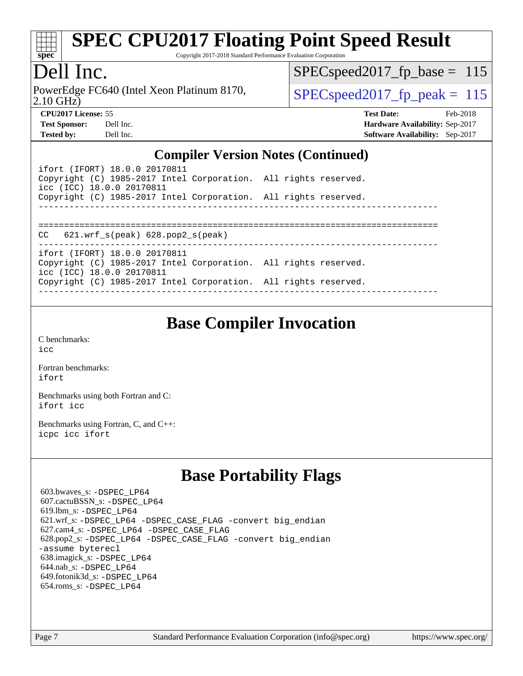

Copyright 2017-2018 Standard Performance Evaluation Corporation

# Dell Inc.

2.10 GHz) PowerEdge FC640 (Intel Xeon Platinum 8170,  $\vert$  SPECspeed2017 fp\_peak = 115

 $SPEC speed2017_fp\_base = 115$ 

**[Tested by:](http://www.spec.org/auto/cpu2017/Docs/result-fields.html#Testedby)** Dell Inc. **[Software Availability:](http://www.spec.org/auto/cpu2017/Docs/result-fields.html#SoftwareAvailability)** Sep-2017

**[CPU2017 License:](http://www.spec.org/auto/cpu2017/Docs/result-fields.html#CPU2017License)** 55 **[Test Date:](http://www.spec.org/auto/cpu2017/Docs/result-fields.html#TestDate)** Feb-2018 **[Test Sponsor:](http://www.spec.org/auto/cpu2017/Docs/result-fields.html#TestSponsor)** Dell Inc. **[Hardware Availability:](http://www.spec.org/auto/cpu2017/Docs/result-fields.html#HardwareAvailability)** Sep-2017

### **[Compiler Version Notes \(Continued\)](http://www.spec.org/auto/cpu2017/Docs/result-fields.html#CompilerVersionNotes)**

| ifort (IFORT) 18.0.0 20170811<br>Copyright (C) 1985-2017 Intel Corporation. All rights reserved.<br>icc (ICC) 18.0.0 20170811 |  |
|-------------------------------------------------------------------------------------------------------------------------------|--|
| Copyright (C) 1985-2017 Intel Corporation. All rights reserved.                                                               |  |
|                                                                                                                               |  |
| $CC$ 621.wrf $s$ (peak) 628.pop2 $s$ (peak)                                                                                   |  |
| ifort (IFORT) 18.0.0 20170811                                                                                                 |  |
| Copyright (C) 1985-2017 Intel Corporation. All rights reserved.<br>icc (ICC) 18.0.0 20170811                                  |  |
| Copyright (C) 1985-2017 Intel Corporation. All rights reserved.                                                               |  |

# **[Base Compiler Invocation](http://www.spec.org/auto/cpu2017/Docs/result-fields.html#BaseCompilerInvocation)**

[C benchmarks](http://www.spec.org/auto/cpu2017/Docs/result-fields.html#Cbenchmarks): [icc](http://www.spec.org/cpu2017/results/res2018q1/cpu2017-20180305-03810.flags.html#user_CCbase_intel_icc_18.0_66fc1ee009f7361af1fbd72ca7dcefbb700085f36577c54f309893dd4ec40d12360134090235512931783d35fd58c0460139e722d5067c5574d8eaf2b3e37e92)

[Fortran benchmarks](http://www.spec.org/auto/cpu2017/Docs/result-fields.html#Fortranbenchmarks): [ifort](http://www.spec.org/cpu2017/results/res2018q1/cpu2017-20180305-03810.flags.html#user_FCbase_intel_ifort_18.0_8111460550e3ca792625aed983ce982f94888b8b503583aa7ba2b8303487b4d8a21a13e7191a45c5fd58ff318f48f9492884d4413fa793fd88dd292cad7027ca)

[Benchmarks using both Fortran and C](http://www.spec.org/auto/cpu2017/Docs/result-fields.html#BenchmarksusingbothFortranandC): [ifort](http://www.spec.org/cpu2017/results/res2018q1/cpu2017-20180305-03810.flags.html#user_CC_FCbase_intel_ifort_18.0_8111460550e3ca792625aed983ce982f94888b8b503583aa7ba2b8303487b4d8a21a13e7191a45c5fd58ff318f48f9492884d4413fa793fd88dd292cad7027ca) [icc](http://www.spec.org/cpu2017/results/res2018q1/cpu2017-20180305-03810.flags.html#user_CC_FCbase_intel_icc_18.0_66fc1ee009f7361af1fbd72ca7dcefbb700085f36577c54f309893dd4ec40d12360134090235512931783d35fd58c0460139e722d5067c5574d8eaf2b3e37e92)

[Benchmarks using Fortran, C, and C++:](http://www.spec.org/auto/cpu2017/Docs/result-fields.html#BenchmarksusingFortranCandCXX) [icpc](http://www.spec.org/cpu2017/results/res2018q1/cpu2017-20180305-03810.flags.html#user_CC_CXX_FCbase_intel_icpc_18.0_c510b6838c7f56d33e37e94d029a35b4a7bccf4766a728ee175e80a419847e808290a9b78be685c44ab727ea267ec2f070ec5dc83b407c0218cded6866a35d07) [icc](http://www.spec.org/cpu2017/results/res2018q1/cpu2017-20180305-03810.flags.html#user_CC_CXX_FCbase_intel_icc_18.0_66fc1ee009f7361af1fbd72ca7dcefbb700085f36577c54f309893dd4ec40d12360134090235512931783d35fd58c0460139e722d5067c5574d8eaf2b3e37e92) [ifort](http://www.spec.org/cpu2017/results/res2018q1/cpu2017-20180305-03810.flags.html#user_CC_CXX_FCbase_intel_ifort_18.0_8111460550e3ca792625aed983ce982f94888b8b503583aa7ba2b8303487b4d8a21a13e7191a45c5fd58ff318f48f9492884d4413fa793fd88dd292cad7027ca)

# **[Base Portability Flags](http://www.spec.org/auto/cpu2017/Docs/result-fields.html#BasePortabilityFlags)**

 603.bwaves\_s: [-DSPEC\\_LP64](http://www.spec.org/cpu2017/results/res2018q1/cpu2017-20180305-03810.flags.html#suite_basePORTABILITY603_bwaves_s_DSPEC_LP64) 607.cactuBSSN\_s: [-DSPEC\\_LP64](http://www.spec.org/cpu2017/results/res2018q1/cpu2017-20180305-03810.flags.html#suite_basePORTABILITY607_cactuBSSN_s_DSPEC_LP64) 619.lbm\_s: [-DSPEC\\_LP64](http://www.spec.org/cpu2017/results/res2018q1/cpu2017-20180305-03810.flags.html#suite_basePORTABILITY619_lbm_s_DSPEC_LP64) 621.wrf\_s: [-DSPEC\\_LP64](http://www.spec.org/cpu2017/results/res2018q1/cpu2017-20180305-03810.flags.html#suite_basePORTABILITY621_wrf_s_DSPEC_LP64) [-DSPEC\\_CASE\\_FLAG](http://www.spec.org/cpu2017/results/res2018q1/cpu2017-20180305-03810.flags.html#b621.wrf_s_baseCPORTABILITY_DSPEC_CASE_FLAG) [-convert big\\_endian](http://www.spec.org/cpu2017/results/res2018q1/cpu2017-20180305-03810.flags.html#user_baseFPORTABILITY621_wrf_s_convert_big_endian_c3194028bc08c63ac5d04de18c48ce6d347e4e562e8892b8bdbdc0214820426deb8554edfa529a3fb25a586e65a3d812c835984020483e7e73212c4d31a38223) 627.cam4\_s: [-DSPEC\\_LP64](http://www.spec.org/cpu2017/results/res2018q1/cpu2017-20180305-03810.flags.html#suite_basePORTABILITY627_cam4_s_DSPEC_LP64) [-DSPEC\\_CASE\\_FLAG](http://www.spec.org/cpu2017/results/res2018q1/cpu2017-20180305-03810.flags.html#b627.cam4_s_baseCPORTABILITY_DSPEC_CASE_FLAG) 628.pop2\_s: [-DSPEC\\_LP64](http://www.spec.org/cpu2017/results/res2018q1/cpu2017-20180305-03810.flags.html#suite_basePORTABILITY628_pop2_s_DSPEC_LP64) [-DSPEC\\_CASE\\_FLAG](http://www.spec.org/cpu2017/results/res2018q1/cpu2017-20180305-03810.flags.html#b628.pop2_s_baseCPORTABILITY_DSPEC_CASE_FLAG) [-convert big\\_endian](http://www.spec.org/cpu2017/results/res2018q1/cpu2017-20180305-03810.flags.html#user_baseFPORTABILITY628_pop2_s_convert_big_endian_c3194028bc08c63ac5d04de18c48ce6d347e4e562e8892b8bdbdc0214820426deb8554edfa529a3fb25a586e65a3d812c835984020483e7e73212c4d31a38223) [-assume byterecl](http://www.spec.org/cpu2017/results/res2018q1/cpu2017-20180305-03810.flags.html#user_baseFPORTABILITY628_pop2_s_assume_byterecl_7e47d18b9513cf18525430bbf0f2177aa9bf368bc7a059c09b2c06a34b53bd3447c950d3f8d6c70e3faf3a05c8557d66a5798b567902e8849adc142926523472) 638.imagick\_s: [-DSPEC\\_LP64](http://www.spec.org/cpu2017/results/res2018q1/cpu2017-20180305-03810.flags.html#suite_basePORTABILITY638_imagick_s_DSPEC_LP64) 644.nab\_s: [-DSPEC\\_LP64](http://www.spec.org/cpu2017/results/res2018q1/cpu2017-20180305-03810.flags.html#suite_basePORTABILITY644_nab_s_DSPEC_LP64) 649.fotonik3d\_s: [-DSPEC\\_LP64](http://www.spec.org/cpu2017/results/res2018q1/cpu2017-20180305-03810.flags.html#suite_basePORTABILITY649_fotonik3d_s_DSPEC_LP64) 654.roms\_s: [-DSPEC\\_LP64](http://www.spec.org/cpu2017/results/res2018q1/cpu2017-20180305-03810.flags.html#suite_basePORTABILITY654_roms_s_DSPEC_LP64)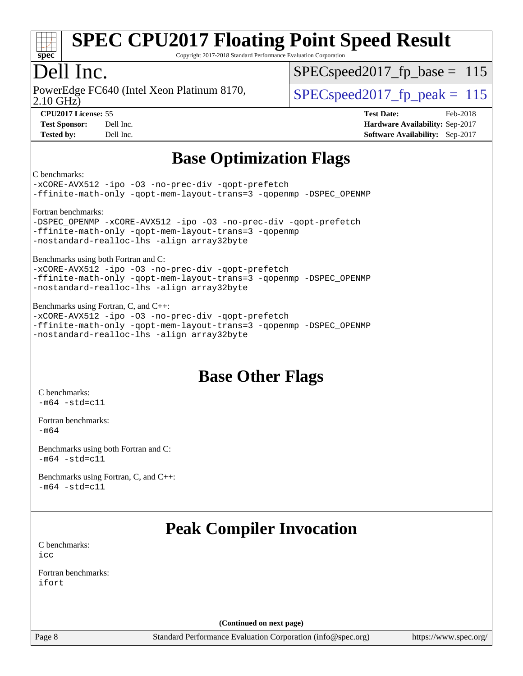

Copyright 2017-2018 Standard Performance Evaluation Corporation

# Dell Inc.

2.10 GHz) PowerEdge FC640 (Intel Xeon Platinum 8170,  $\vert$  SPECspeed2017 fp\_peak = 115

SPECspeed2017 fp base =  $115$ 

**[CPU2017 License:](http://www.spec.org/auto/cpu2017/Docs/result-fields.html#CPU2017License)** 55 **[Test Date:](http://www.spec.org/auto/cpu2017/Docs/result-fields.html#TestDate)** Feb-2018 **[Test Sponsor:](http://www.spec.org/auto/cpu2017/Docs/result-fields.html#TestSponsor)** Dell Inc. **[Hardware Availability:](http://www.spec.org/auto/cpu2017/Docs/result-fields.html#HardwareAvailability)** Sep-2017 **[Tested by:](http://www.spec.org/auto/cpu2017/Docs/result-fields.html#Testedby)** Dell Inc. **[Software Availability:](http://www.spec.org/auto/cpu2017/Docs/result-fields.html#SoftwareAvailability)** Sep-2017

# **[Base Optimization Flags](http://www.spec.org/auto/cpu2017/Docs/result-fields.html#BaseOptimizationFlags)**

[C benchmarks:](http://www.spec.org/auto/cpu2017/Docs/result-fields.html#Cbenchmarks)

[-xCORE-AVX512](http://www.spec.org/cpu2017/results/res2018q1/cpu2017-20180305-03810.flags.html#user_CCbase_f-xCORE-AVX512) [-ipo](http://www.spec.org/cpu2017/results/res2018q1/cpu2017-20180305-03810.flags.html#user_CCbase_f-ipo) [-O3](http://www.spec.org/cpu2017/results/res2018q1/cpu2017-20180305-03810.flags.html#user_CCbase_f-O3) [-no-prec-div](http://www.spec.org/cpu2017/results/res2018q1/cpu2017-20180305-03810.flags.html#user_CCbase_f-no-prec-div) [-qopt-prefetch](http://www.spec.org/cpu2017/results/res2018q1/cpu2017-20180305-03810.flags.html#user_CCbase_f-qopt-prefetch) [-ffinite-math-only](http://www.spec.org/cpu2017/results/res2018q1/cpu2017-20180305-03810.flags.html#user_CCbase_f_finite_math_only_cb91587bd2077682c4b38af759c288ed7c732db004271a9512da14a4f8007909a5f1427ecbf1a0fb78ff2a814402c6114ac565ca162485bbcae155b5e4258871) [-qopt-mem-layout-trans=3](http://www.spec.org/cpu2017/results/res2018q1/cpu2017-20180305-03810.flags.html#user_CCbase_f-qopt-mem-layout-trans_de80db37974c74b1f0e20d883f0b675c88c3b01e9d123adea9b28688d64333345fb62bc4a798493513fdb68f60282f9a726aa07f478b2f7113531aecce732043) [-qopenmp](http://www.spec.org/cpu2017/results/res2018q1/cpu2017-20180305-03810.flags.html#user_CCbase_qopenmp_16be0c44f24f464004c6784a7acb94aca937f053568ce72f94b139a11c7c168634a55f6653758ddd83bcf7b8463e8028bb0b48b77bcddc6b78d5d95bb1df2967) [-DSPEC\\_OPENMP](http://www.spec.org/cpu2017/results/res2018q1/cpu2017-20180305-03810.flags.html#suite_CCbase_DSPEC_OPENMP) [Fortran benchmarks:](http://www.spec.org/auto/cpu2017/Docs/result-fields.html#Fortranbenchmarks)

[-DSPEC\\_OPENMP](http://www.spec.org/cpu2017/results/res2018q1/cpu2017-20180305-03810.flags.html#suite_FCbase_DSPEC_OPENMP) [-xCORE-AVX512](http://www.spec.org/cpu2017/results/res2018q1/cpu2017-20180305-03810.flags.html#user_FCbase_f-xCORE-AVX512) [-ipo](http://www.spec.org/cpu2017/results/res2018q1/cpu2017-20180305-03810.flags.html#user_FCbase_f-ipo) [-O3](http://www.spec.org/cpu2017/results/res2018q1/cpu2017-20180305-03810.flags.html#user_FCbase_f-O3) [-no-prec-div](http://www.spec.org/cpu2017/results/res2018q1/cpu2017-20180305-03810.flags.html#user_FCbase_f-no-prec-div) [-qopt-prefetch](http://www.spec.org/cpu2017/results/res2018q1/cpu2017-20180305-03810.flags.html#user_FCbase_f-qopt-prefetch) [-ffinite-math-only](http://www.spec.org/cpu2017/results/res2018q1/cpu2017-20180305-03810.flags.html#user_FCbase_f_finite_math_only_cb91587bd2077682c4b38af759c288ed7c732db004271a9512da14a4f8007909a5f1427ecbf1a0fb78ff2a814402c6114ac565ca162485bbcae155b5e4258871) [-qopt-mem-layout-trans=3](http://www.spec.org/cpu2017/results/res2018q1/cpu2017-20180305-03810.flags.html#user_FCbase_f-qopt-mem-layout-trans_de80db37974c74b1f0e20d883f0b675c88c3b01e9d123adea9b28688d64333345fb62bc4a798493513fdb68f60282f9a726aa07f478b2f7113531aecce732043) [-qopenmp](http://www.spec.org/cpu2017/results/res2018q1/cpu2017-20180305-03810.flags.html#user_FCbase_qopenmp_16be0c44f24f464004c6784a7acb94aca937f053568ce72f94b139a11c7c168634a55f6653758ddd83bcf7b8463e8028bb0b48b77bcddc6b78d5d95bb1df2967) [-nostandard-realloc-lhs](http://www.spec.org/cpu2017/results/res2018q1/cpu2017-20180305-03810.flags.html#user_FCbase_f_2003_std_realloc_82b4557e90729c0f113870c07e44d33d6f5a304b4f63d4c15d2d0f1fab99f5daaed73bdb9275d9ae411527f28b936061aa8b9c8f2d63842963b95c9dd6426b8a) [-align array32byte](http://www.spec.org/cpu2017/results/res2018q1/cpu2017-20180305-03810.flags.html#user_FCbase_align_array32byte_b982fe038af199962ba9a80c053b8342c548c85b40b8e86eb3cc33dee0d7986a4af373ac2d51c3f7cf710a18d62fdce2948f201cd044323541f22fc0fffc51b6)

[Benchmarks using both Fortran and C:](http://www.spec.org/auto/cpu2017/Docs/result-fields.html#BenchmarksusingbothFortranandC)

[-xCORE-AVX512](http://www.spec.org/cpu2017/results/res2018q1/cpu2017-20180305-03810.flags.html#user_CC_FCbase_f-xCORE-AVX512) [-ipo](http://www.spec.org/cpu2017/results/res2018q1/cpu2017-20180305-03810.flags.html#user_CC_FCbase_f-ipo) [-O3](http://www.spec.org/cpu2017/results/res2018q1/cpu2017-20180305-03810.flags.html#user_CC_FCbase_f-O3) [-no-prec-div](http://www.spec.org/cpu2017/results/res2018q1/cpu2017-20180305-03810.flags.html#user_CC_FCbase_f-no-prec-div) [-qopt-prefetch](http://www.spec.org/cpu2017/results/res2018q1/cpu2017-20180305-03810.flags.html#user_CC_FCbase_f-qopt-prefetch) [-ffinite-math-only](http://www.spec.org/cpu2017/results/res2018q1/cpu2017-20180305-03810.flags.html#user_CC_FCbase_f_finite_math_only_cb91587bd2077682c4b38af759c288ed7c732db004271a9512da14a4f8007909a5f1427ecbf1a0fb78ff2a814402c6114ac565ca162485bbcae155b5e4258871) [-qopt-mem-layout-trans=3](http://www.spec.org/cpu2017/results/res2018q1/cpu2017-20180305-03810.flags.html#user_CC_FCbase_f-qopt-mem-layout-trans_de80db37974c74b1f0e20d883f0b675c88c3b01e9d123adea9b28688d64333345fb62bc4a798493513fdb68f60282f9a726aa07f478b2f7113531aecce732043) [-qopenmp](http://www.spec.org/cpu2017/results/res2018q1/cpu2017-20180305-03810.flags.html#user_CC_FCbase_qopenmp_16be0c44f24f464004c6784a7acb94aca937f053568ce72f94b139a11c7c168634a55f6653758ddd83bcf7b8463e8028bb0b48b77bcddc6b78d5d95bb1df2967) [-DSPEC\\_OPENMP](http://www.spec.org/cpu2017/results/res2018q1/cpu2017-20180305-03810.flags.html#suite_CC_FCbase_DSPEC_OPENMP) [-nostandard-realloc-lhs](http://www.spec.org/cpu2017/results/res2018q1/cpu2017-20180305-03810.flags.html#user_CC_FCbase_f_2003_std_realloc_82b4557e90729c0f113870c07e44d33d6f5a304b4f63d4c15d2d0f1fab99f5daaed73bdb9275d9ae411527f28b936061aa8b9c8f2d63842963b95c9dd6426b8a) [-align array32byte](http://www.spec.org/cpu2017/results/res2018q1/cpu2017-20180305-03810.flags.html#user_CC_FCbase_align_array32byte_b982fe038af199962ba9a80c053b8342c548c85b40b8e86eb3cc33dee0d7986a4af373ac2d51c3f7cf710a18d62fdce2948f201cd044323541f22fc0fffc51b6)

[Benchmarks using Fortran, C, and C++:](http://www.spec.org/auto/cpu2017/Docs/result-fields.html#BenchmarksusingFortranCandCXX) [-xCORE-AVX512](http://www.spec.org/cpu2017/results/res2018q1/cpu2017-20180305-03810.flags.html#user_CC_CXX_FCbase_f-xCORE-AVX512) [-ipo](http://www.spec.org/cpu2017/results/res2018q1/cpu2017-20180305-03810.flags.html#user_CC_CXX_FCbase_f-ipo) [-O3](http://www.spec.org/cpu2017/results/res2018q1/cpu2017-20180305-03810.flags.html#user_CC_CXX_FCbase_f-O3) [-no-prec-div](http://www.spec.org/cpu2017/results/res2018q1/cpu2017-20180305-03810.flags.html#user_CC_CXX_FCbase_f-no-prec-div) [-qopt-prefetch](http://www.spec.org/cpu2017/results/res2018q1/cpu2017-20180305-03810.flags.html#user_CC_CXX_FCbase_f-qopt-prefetch) [-ffinite-math-only](http://www.spec.org/cpu2017/results/res2018q1/cpu2017-20180305-03810.flags.html#user_CC_CXX_FCbase_f_finite_math_only_cb91587bd2077682c4b38af759c288ed7c732db004271a9512da14a4f8007909a5f1427ecbf1a0fb78ff2a814402c6114ac565ca162485bbcae155b5e4258871) [-qopt-mem-layout-trans=3](http://www.spec.org/cpu2017/results/res2018q1/cpu2017-20180305-03810.flags.html#user_CC_CXX_FCbase_f-qopt-mem-layout-trans_de80db37974c74b1f0e20d883f0b675c88c3b01e9d123adea9b28688d64333345fb62bc4a798493513fdb68f60282f9a726aa07f478b2f7113531aecce732043) [-qopenmp](http://www.spec.org/cpu2017/results/res2018q1/cpu2017-20180305-03810.flags.html#user_CC_CXX_FCbase_qopenmp_16be0c44f24f464004c6784a7acb94aca937f053568ce72f94b139a11c7c168634a55f6653758ddd83bcf7b8463e8028bb0b48b77bcddc6b78d5d95bb1df2967) [-DSPEC\\_OPENMP](http://www.spec.org/cpu2017/results/res2018q1/cpu2017-20180305-03810.flags.html#suite_CC_CXX_FCbase_DSPEC_OPENMP) [-nostandard-realloc-lhs](http://www.spec.org/cpu2017/results/res2018q1/cpu2017-20180305-03810.flags.html#user_CC_CXX_FCbase_f_2003_std_realloc_82b4557e90729c0f113870c07e44d33d6f5a304b4f63d4c15d2d0f1fab99f5daaed73bdb9275d9ae411527f28b936061aa8b9c8f2d63842963b95c9dd6426b8a) [-align array32byte](http://www.spec.org/cpu2017/results/res2018q1/cpu2017-20180305-03810.flags.html#user_CC_CXX_FCbase_align_array32byte_b982fe038af199962ba9a80c053b8342c548c85b40b8e86eb3cc33dee0d7986a4af373ac2d51c3f7cf710a18d62fdce2948f201cd044323541f22fc0fffc51b6)

# **[Base Other Flags](http://www.spec.org/auto/cpu2017/Docs/result-fields.html#BaseOtherFlags)**

[C benchmarks](http://www.spec.org/auto/cpu2017/Docs/result-fields.html#Cbenchmarks):  $-m64 - std= c11$  $-m64 - std= c11$ 

[Fortran benchmarks](http://www.spec.org/auto/cpu2017/Docs/result-fields.html#Fortranbenchmarks): [-m64](http://www.spec.org/cpu2017/results/res2018q1/cpu2017-20180305-03810.flags.html#user_FCbase_intel_intel64_18.0_af43caccfc8ded86e7699f2159af6efc7655f51387b94da716254467f3c01020a5059329e2569e4053f409e7c9202a7efc638f7a6d1ffb3f52dea4a3e31d82ab)

[Benchmarks using both Fortran and C](http://www.spec.org/auto/cpu2017/Docs/result-fields.html#BenchmarksusingbothFortranandC):  $-m64$   $-std=cl1$ 

[Benchmarks using Fortran, C, and C++:](http://www.spec.org/auto/cpu2017/Docs/result-fields.html#BenchmarksusingFortranCandCXX)  $-m64 - std= c11$  $-m64 - std= c11$ 

# **[Peak Compiler Invocation](http://www.spec.org/auto/cpu2017/Docs/result-fields.html#PeakCompilerInvocation)**

[C benchmarks](http://www.spec.org/auto/cpu2017/Docs/result-fields.html#Cbenchmarks): [icc](http://www.spec.org/cpu2017/results/res2018q1/cpu2017-20180305-03810.flags.html#user_CCpeak_intel_icc_18.0_66fc1ee009f7361af1fbd72ca7dcefbb700085f36577c54f309893dd4ec40d12360134090235512931783d35fd58c0460139e722d5067c5574d8eaf2b3e37e92)

[Fortran benchmarks](http://www.spec.org/auto/cpu2017/Docs/result-fields.html#Fortranbenchmarks): [ifort](http://www.spec.org/cpu2017/results/res2018q1/cpu2017-20180305-03810.flags.html#user_FCpeak_intel_ifort_18.0_8111460550e3ca792625aed983ce982f94888b8b503583aa7ba2b8303487b4d8a21a13e7191a45c5fd58ff318f48f9492884d4413fa793fd88dd292cad7027ca)

**(Continued on next page)**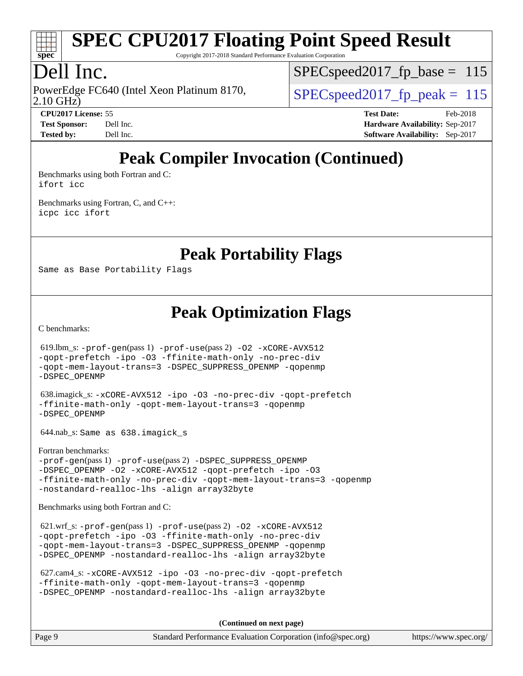

Copyright 2017-2018 Standard Performance Evaluation Corporation

# Dell Inc.

2.10 GHz) PowerEdge FC640 (Intel Xeon Platinum 8170,  $\vert$  SPECspeed2017 fp\_peak = 115

SPECspeed2017 fp base =  $115$ 

**[Tested by:](http://www.spec.org/auto/cpu2017/Docs/result-fields.html#Testedby)** Dell Inc. **[Software Availability:](http://www.spec.org/auto/cpu2017/Docs/result-fields.html#SoftwareAvailability)** Sep-2017

**[CPU2017 License:](http://www.spec.org/auto/cpu2017/Docs/result-fields.html#CPU2017License)** 55 **[Test Date:](http://www.spec.org/auto/cpu2017/Docs/result-fields.html#TestDate)** Feb-2018 **[Test Sponsor:](http://www.spec.org/auto/cpu2017/Docs/result-fields.html#TestSponsor)** Dell Inc. **[Hardware Availability:](http://www.spec.org/auto/cpu2017/Docs/result-fields.html#HardwareAvailability)** Sep-2017

# **[Peak Compiler Invocation \(Continued\)](http://www.spec.org/auto/cpu2017/Docs/result-fields.html#PeakCompilerInvocation)**

[Benchmarks using both Fortran and C](http://www.spec.org/auto/cpu2017/Docs/result-fields.html#BenchmarksusingbothFortranandC): [ifort](http://www.spec.org/cpu2017/results/res2018q1/cpu2017-20180305-03810.flags.html#user_CC_FCpeak_intel_ifort_18.0_8111460550e3ca792625aed983ce982f94888b8b503583aa7ba2b8303487b4d8a21a13e7191a45c5fd58ff318f48f9492884d4413fa793fd88dd292cad7027ca) [icc](http://www.spec.org/cpu2017/results/res2018q1/cpu2017-20180305-03810.flags.html#user_CC_FCpeak_intel_icc_18.0_66fc1ee009f7361af1fbd72ca7dcefbb700085f36577c54f309893dd4ec40d12360134090235512931783d35fd58c0460139e722d5067c5574d8eaf2b3e37e92)

[Benchmarks using Fortran, C, and C++:](http://www.spec.org/auto/cpu2017/Docs/result-fields.html#BenchmarksusingFortranCandCXX) [icpc](http://www.spec.org/cpu2017/results/res2018q1/cpu2017-20180305-03810.flags.html#user_CC_CXX_FCpeak_intel_icpc_18.0_c510b6838c7f56d33e37e94d029a35b4a7bccf4766a728ee175e80a419847e808290a9b78be685c44ab727ea267ec2f070ec5dc83b407c0218cded6866a35d07) [icc](http://www.spec.org/cpu2017/results/res2018q1/cpu2017-20180305-03810.flags.html#user_CC_CXX_FCpeak_intel_icc_18.0_66fc1ee009f7361af1fbd72ca7dcefbb700085f36577c54f309893dd4ec40d12360134090235512931783d35fd58c0460139e722d5067c5574d8eaf2b3e37e92) [ifort](http://www.spec.org/cpu2017/results/res2018q1/cpu2017-20180305-03810.flags.html#user_CC_CXX_FCpeak_intel_ifort_18.0_8111460550e3ca792625aed983ce982f94888b8b503583aa7ba2b8303487b4d8a21a13e7191a45c5fd58ff318f48f9492884d4413fa793fd88dd292cad7027ca)

**[Peak Portability Flags](http://www.spec.org/auto/cpu2017/Docs/result-fields.html#PeakPortabilityFlags)**

Same as Base Portability Flags

**[Peak Optimization Flags](http://www.spec.org/auto/cpu2017/Docs/result-fields.html#PeakOptimizationFlags)**

[C benchmarks](http://www.spec.org/auto/cpu2017/Docs/result-fields.html#Cbenchmarks):

 619.lbm\_s: [-prof-gen](http://www.spec.org/cpu2017/results/res2018q1/cpu2017-20180305-03810.flags.html#user_peakPASS1_CFLAGSPASS1_LDFLAGS619_lbm_s_prof_gen_5aa4926d6013ddb2a31985c654b3eb18169fc0c6952a63635c234f711e6e63dd76e94ad52365559451ec499a2cdb89e4dc58ba4c67ef54ca681ffbe1461d6b36)(pass 1) [-prof-use](http://www.spec.org/cpu2017/results/res2018q1/cpu2017-20180305-03810.flags.html#user_peakPASS2_CFLAGSPASS2_LDFLAGS619_lbm_s_prof_use_1a21ceae95f36a2b53c25747139a6c16ca95bd9def2a207b4f0849963b97e94f5260e30a0c64f4bb623698870e679ca08317ef8150905d41bd88c6f78df73f19)(pass 2) [-O2](http://www.spec.org/cpu2017/results/res2018q1/cpu2017-20180305-03810.flags.html#user_peakPASS1_COPTIMIZE619_lbm_s_f-O2) [-xCORE-AVX512](http://www.spec.org/cpu2017/results/res2018q1/cpu2017-20180305-03810.flags.html#user_peakPASS2_COPTIMIZE619_lbm_s_f-xCORE-AVX512) [-qopt-prefetch](http://www.spec.org/cpu2017/results/res2018q1/cpu2017-20180305-03810.flags.html#user_peakPASS1_COPTIMIZEPASS2_COPTIMIZE619_lbm_s_f-qopt-prefetch) [-ipo](http://www.spec.org/cpu2017/results/res2018q1/cpu2017-20180305-03810.flags.html#user_peakPASS2_COPTIMIZE619_lbm_s_f-ipo) [-O3](http://www.spec.org/cpu2017/results/res2018q1/cpu2017-20180305-03810.flags.html#user_peakPASS2_COPTIMIZE619_lbm_s_f-O3) [-ffinite-math-only](http://www.spec.org/cpu2017/results/res2018q1/cpu2017-20180305-03810.flags.html#user_peakPASS1_COPTIMIZEPASS2_COPTIMIZE619_lbm_s_f_finite_math_only_cb91587bd2077682c4b38af759c288ed7c732db004271a9512da14a4f8007909a5f1427ecbf1a0fb78ff2a814402c6114ac565ca162485bbcae155b5e4258871) [-no-prec-div](http://www.spec.org/cpu2017/results/res2018q1/cpu2017-20180305-03810.flags.html#user_peakPASS2_COPTIMIZE619_lbm_s_f-no-prec-div) [-qopt-mem-layout-trans=3](http://www.spec.org/cpu2017/results/res2018q1/cpu2017-20180305-03810.flags.html#user_peakPASS1_COPTIMIZEPASS2_COPTIMIZE619_lbm_s_f-qopt-mem-layout-trans_de80db37974c74b1f0e20d883f0b675c88c3b01e9d123adea9b28688d64333345fb62bc4a798493513fdb68f60282f9a726aa07f478b2f7113531aecce732043) [-DSPEC\\_SUPPRESS\\_OPENMP](http://www.spec.org/cpu2017/results/res2018q1/cpu2017-20180305-03810.flags.html#suite_peakPASS1_COPTIMIZE619_lbm_s_DSPEC_SUPPRESS_OPENMP) [-qopenmp](http://www.spec.org/cpu2017/results/res2018q1/cpu2017-20180305-03810.flags.html#user_peakPASS2_COPTIMIZE619_lbm_s_qopenmp_16be0c44f24f464004c6784a7acb94aca937f053568ce72f94b139a11c7c168634a55f6653758ddd83bcf7b8463e8028bb0b48b77bcddc6b78d5d95bb1df2967) [-DSPEC\\_OPENMP](http://www.spec.org/cpu2017/results/res2018q1/cpu2017-20180305-03810.flags.html#suite_peakPASS2_COPTIMIZE619_lbm_s_DSPEC_OPENMP) 638.imagick\_s: [-xCORE-AVX512](http://www.spec.org/cpu2017/results/res2018q1/cpu2017-20180305-03810.flags.html#user_peakCOPTIMIZE638_imagick_s_f-xCORE-AVX512) [-ipo](http://www.spec.org/cpu2017/results/res2018q1/cpu2017-20180305-03810.flags.html#user_peakCOPTIMIZE638_imagick_s_f-ipo) [-O3](http://www.spec.org/cpu2017/results/res2018q1/cpu2017-20180305-03810.flags.html#user_peakCOPTIMIZE638_imagick_s_f-O3) [-no-prec-div](http://www.spec.org/cpu2017/results/res2018q1/cpu2017-20180305-03810.flags.html#user_peakCOPTIMIZE638_imagick_s_f-no-prec-div) [-qopt-prefetch](http://www.spec.org/cpu2017/results/res2018q1/cpu2017-20180305-03810.flags.html#user_peakCOPTIMIZE638_imagick_s_f-qopt-prefetch) [-ffinite-math-only](http://www.spec.org/cpu2017/results/res2018q1/cpu2017-20180305-03810.flags.html#user_peakCOPTIMIZE638_imagick_s_f_finite_math_only_cb91587bd2077682c4b38af759c288ed7c732db004271a9512da14a4f8007909a5f1427ecbf1a0fb78ff2a814402c6114ac565ca162485bbcae155b5e4258871) [-qopt-mem-layout-trans=3](http://www.spec.org/cpu2017/results/res2018q1/cpu2017-20180305-03810.flags.html#user_peakCOPTIMIZE638_imagick_s_f-qopt-mem-layout-trans_de80db37974c74b1f0e20d883f0b675c88c3b01e9d123adea9b28688d64333345fb62bc4a798493513fdb68f60282f9a726aa07f478b2f7113531aecce732043) [-qopenmp](http://www.spec.org/cpu2017/results/res2018q1/cpu2017-20180305-03810.flags.html#user_peakCOPTIMIZE638_imagick_s_qopenmp_16be0c44f24f464004c6784a7acb94aca937f053568ce72f94b139a11c7c168634a55f6653758ddd83bcf7b8463e8028bb0b48b77bcddc6b78d5d95bb1df2967) [-DSPEC\\_OPENMP](http://www.spec.org/cpu2017/results/res2018q1/cpu2017-20180305-03810.flags.html#suite_peakCOPTIMIZE638_imagick_s_DSPEC_OPENMP) 644.nab\_s: Same as 638.imagick\_s [Fortran benchmarks](http://www.spec.org/auto/cpu2017/Docs/result-fields.html#Fortranbenchmarks): [-prof-gen](http://www.spec.org/cpu2017/results/res2018q1/cpu2017-20180305-03810.flags.html#user_FCpeak_prof_gen_5aa4926d6013ddb2a31985c654b3eb18169fc0c6952a63635c234f711e6e63dd76e94ad52365559451ec499a2cdb89e4dc58ba4c67ef54ca681ffbe1461d6b36)(pass 1) [-prof-use](http://www.spec.org/cpu2017/results/res2018q1/cpu2017-20180305-03810.flags.html#user_FCpeak_prof_use_1a21ceae95f36a2b53c25747139a6c16ca95bd9def2a207b4f0849963b97e94f5260e30a0c64f4bb623698870e679ca08317ef8150905d41bd88c6f78df73f19)(pass 2) [-DSPEC\\_SUPPRESS\\_OPENMP](http://www.spec.org/cpu2017/results/res2018q1/cpu2017-20180305-03810.flags.html#suite_FCpeak_DSPEC_SUPPRESS_OPENMP) -DSPEC OPENMP [-O2](http://www.spec.org/cpu2017/results/res2018q1/cpu2017-20180305-03810.flags.html#user_FCpeak_f-O2) [-xCORE-AVX512](http://www.spec.org/cpu2017/results/res2018q1/cpu2017-20180305-03810.flags.html#user_FCpeak_f-xCORE-AVX512) [-qopt-prefetch](http://www.spec.org/cpu2017/results/res2018q1/cpu2017-20180305-03810.flags.html#user_FCpeak_f-qopt-prefetch) [-ipo](http://www.spec.org/cpu2017/results/res2018q1/cpu2017-20180305-03810.flags.html#user_FCpeak_f-ipo) [-O3](http://www.spec.org/cpu2017/results/res2018q1/cpu2017-20180305-03810.flags.html#user_FCpeak_f-O3) [-ffinite-math-only](http://www.spec.org/cpu2017/results/res2018q1/cpu2017-20180305-03810.flags.html#user_FCpeak_f_finite_math_only_cb91587bd2077682c4b38af759c288ed7c732db004271a9512da14a4f8007909a5f1427ecbf1a0fb78ff2a814402c6114ac565ca162485bbcae155b5e4258871) [-no-prec-div](http://www.spec.org/cpu2017/results/res2018q1/cpu2017-20180305-03810.flags.html#user_FCpeak_f-no-prec-div) [-qopt-mem-layout-trans=3](http://www.spec.org/cpu2017/results/res2018q1/cpu2017-20180305-03810.flags.html#user_FCpeak_f-qopt-mem-layout-trans_de80db37974c74b1f0e20d883f0b675c88c3b01e9d123adea9b28688d64333345fb62bc4a798493513fdb68f60282f9a726aa07f478b2f7113531aecce732043) [-qopenmp](http://www.spec.org/cpu2017/results/res2018q1/cpu2017-20180305-03810.flags.html#user_FCpeak_qopenmp_16be0c44f24f464004c6784a7acb94aca937f053568ce72f94b139a11c7c168634a55f6653758ddd83bcf7b8463e8028bb0b48b77bcddc6b78d5d95bb1df2967) [-nostandard-realloc-lhs](http://www.spec.org/cpu2017/results/res2018q1/cpu2017-20180305-03810.flags.html#user_FCpeak_f_2003_std_realloc_82b4557e90729c0f113870c07e44d33d6f5a304b4f63d4c15d2d0f1fab99f5daaed73bdb9275d9ae411527f28b936061aa8b9c8f2d63842963b95c9dd6426b8a) [-align array32byte](http://www.spec.org/cpu2017/results/res2018q1/cpu2017-20180305-03810.flags.html#user_FCpeak_align_array32byte_b982fe038af199962ba9a80c053b8342c548c85b40b8e86eb3cc33dee0d7986a4af373ac2d51c3f7cf710a18d62fdce2948f201cd044323541f22fc0fffc51b6) [Benchmarks using both Fortran and C](http://www.spec.org/auto/cpu2017/Docs/result-fields.html#BenchmarksusingbothFortranandC): 621.wrf\_s: [-prof-gen](http://www.spec.org/cpu2017/results/res2018q1/cpu2017-20180305-03810.flags.html#user_peakPASS1_CFLAGSPASS1_FFLAGSPASS1_LDFLAGS621_wrf_s_prof_gen_5aa4926d6013ddb2a31985c654b3eb18169fc0c6952a63635c234f711e6e63dd76e94ad52365559451ec499a2cdb89e4dc58ba4c67ef54ca681ffbe1461d6b36)(pass 1) [-prof-use](http://www.spec.org/cpu2017/results/res2018q1/cpu2017-20180305-03810.flags.html#user_peakPASS2_CFLAGSPASS2_FFLAGSPASS2_LDFLAGS621_wrf_s_prof_use_1a21ceae95f36a2b53c25747139a6c16ca95bd9def2a207b4f0849963b97e94f5260e30a0c64f4bb623698870e679ca08317ef8150905d41bd88c6f78df73f19)(pass 2) [-O2](http://www.spec.org/cpu2017/results/res2018q1/cpu2017-20180305-03810.flags.html#user_peakPASS1_COPTIMIZEPASS1_FOPTIMIZE621_wrf_s_f-O2) [-xCORE-AVX512](http://www.spec.org/cpu2017/results/res2018q1/cpu2017-20180305-03810.flags.html#user_peakPASS2_COPTIMIZEPASS2_FOPTIMIZE621_wrf_s_f-xCORE-AVX512) [-qopt-prefetch](http://www.spec.org/cpu2017/results/res2018q1/cpu2017-20180305-03810.flags.html#user_peakPASS1_COPTIMIZEPASS1_FOPTIMIZEPASS2_COPTIMIZEPASS2_FOPTIMIZE621_wrf_s_f-qopt-prefetch) [-ipo](http://www.spec.org/cpu2017/results/res2018q1/cpu2017-20180305-03810.flags.html#user_peakPASS2_COPTIMIZEPASS2_FOPTIMIZE621_wrf_s_f-ipo) [-O3](http://www.spec.org/cpu2017/results/res2018q1/cpu2017-20180305-03810.flags.html#user_peakPASS2_COPTIMIZEPASS2_FOPTIMIZE621_wrf_s_f-O3) [-ffinite-math-only](http://www.spec.org/cpu2017/results/res2018q1/cpu2017-20180305-03810.flags.html#user_peakPASS1_COPTIMIZEPASS1_FOPTIMIZEPASS2_COPTIMIZEPASS2_FOPTIMIZE621_wrf_s_f_finite_math_only_cb91587bd2077682c4b38af759c288ed7c732db004271a9512da14a4f8007909a5f1427ecbf1a0fb78ff2a814402c6114ac565ca162485bbcae155b5e4258871) [-no-prec-div](http://www.spec.org/cpu2017/results/res2018q1/cpu2017-20180305-03810.flags.html#user_peakPASS2_COPTIMIZEPASS2_FOPTIMIZE621_wrf_s_f-no-prec-div) [-qopt-mem-layout-trans=3](http://www.spec.org/cpu2017/results/res2018q1/cpu2017-20180305-03810.flags.html#user_peakPASS1_COPTIMIZEPASS1_FOPTIMIZEPASS2_COPTIMIZEPASS2_FOPTIMIZE621_wrf_s_f-qopt-mem-layout-trans_de80db37974c74b1f0e20d883f0b675c88c3b01e9d123adea9b28688d64333345fb62bc4a798493513fdb68f60282f9a726aa07f478b2f7113531aecce732043) [-DSPEC\\_SUPPRESS\\_OPENMP](http://www.spec.org/cpu2017/results/res2018q1/cpu2017-20180305-03810.flags.html#suite_peakPASS1_COPTIMIZEPASS1_FOPTIMIZE621_wrf_s_DSPEC_SUPPRESS_OPENMP) [-qopenmp](http://www.spec.org/cpu2017/results/res2018q1/cpu2017-20180305-03810.flags.html#user_peakPASS2_COPTIMIZEPASS2_FOPTIMIZE621_wrf_s_qopenmp_16be0c44f24f464004c6784a7acb94aca937f053568ce72f94b139a11c7c168634a55f6653758ddd83bcf7b8463e8028bb0b48b77bcddc6b78d5d95bb1df2967) [-DSPEC\\_OPENMP](http://www.spec.org/cpu2017/results/res2018q1/cpu2017-20180305-03810.flags.html#suite_peakPASS2_COPTIMIZEPASS2_FOPTIMIZE621_wrf_s_DSPEC_OPENMP) [-nostandard-realloc-lhs](http://www.spec.org/cpu2017/results/res2018q1/cpu2017-20180305-03810.flags.html#user_peakEXTRA_FOPTIMIZE621_wrf_s_f_2003_std_realloc_82b4557e90729c0f113870c07e44d33d6f5a304b4f63d4c15d2d0f1fab99f5daaed73bdb9275d9ae411527f28b936061aa8b9c8f2d63842963b95c9dd6426b8a) [-align array32byte](http://www.spec.org/cpu2017/results/res2018q1/cpu2017-20180305-03810.flags.html#user_peakEXTRA_FOPTIMIZE621_wrf_s_align_array32byte_b982fe038af199962ba9a80c053b8342c548c85b40b8e86eb3cc33dee0d7986a4af373ac2d51c3f7cf710a18d62fdce2948f201cd044323541f22fc0fffc51b6) 627.cam4\_s: [-xCORE-AVX512](http://www.spec.org/cpu2017/results/res2018q1/cpu2017-20180305-03810.flags.html#user_peakCOPTIMIZEFOPTIMIZE627_cam4_s_f-xCORE-AVX512) [-ipo](http://www.spec.org/cpu2017/results/res2018q1/cpu2017-20180305-03810.flags.html#user_peakCOPTIMIZEFOPTIMIZE627_cam4_s_f-ipo) [-O3](http://www.spec.org/cpu2017/results/res2018q1/cpu2017-20180305-03810.flags.html#user_peakCOPTIMIZEFOPTIMIZE627_cam4_s_f-O3) [-no-prec-div](http://www.spec.org/cpu2017/results/res2018q1/cpu2017-20180305-03810.flags.html#user_peakCOPTIMIZEFOPTIMIZE627_cam4_s_f-no-prec-div) [-qopt-prefetch](http://www.spec.org/cpu2017/results/res2018q1/cpu2017-20180305-03810.flags.html#user_peakCOPTIMIZEFOPTIMIZE627_cam4_s_f-qopt-prefetch)

```
-ffinite-math-only -qopt-mem-layout-trans=3 -qopenmp
-DSPEC_OPENMP -nostandard-realloc-lhs -align array32byte
```
**(Continued on next page)**